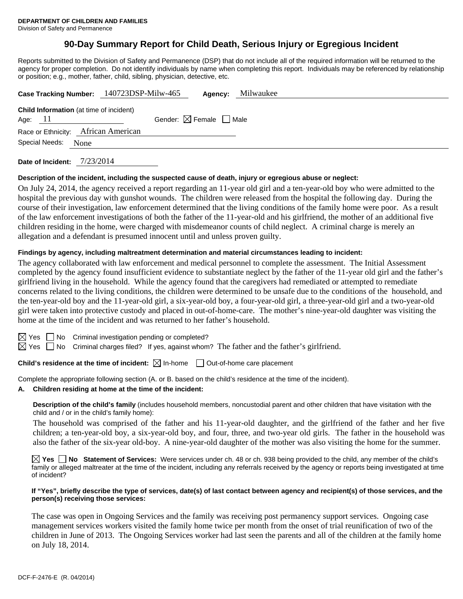# **90-Day Summary Report for Child Death, Serious Injury or Egregious Incident**

Reports submitted to the Division of Safety and Permanence (DSP) that do not include all of the required information will be returned to the agency for proper completion. Do not identify individuals by name when completing this report. Individuals may be referenced by relationship or position; e.g., mother, father, child, sibling, physician, detective, etc.

|                                                | Case Tracking Number: 140723DSP-Milw-465 | Milwaukee<br>Agency:                   |  |
|------------------------------------------------|------------------------------------------|----------------------------------------|--|
| <b>Child Information</b> (at time of incident) |                                          |                                        |  |
| Age: 11                                        |                                          | Gender: $\boxtimes$ Female $\Box$ Male |  |
| Race or Ethnicity: African American            |                                          |                                        |  |
| Special Needs:<br>None                         |                                          |                                        |  |
|                                                |                                          |                                        |  |

**Date of Incident:** 7/23/2014

#### **Description of the incident, including the suspected cause of death, injury or egregious abuse or neglect:**

On July 24, 2014, the agency received a report regarding an 11-year old girl and a ten-year-old boy who were admitted to the hospital the previous day with gunshot wounds. The children were released from the hospital the following day. During the course of their investigation, law enforcement determined that the living conditions of the family home were poor. As a result of the law enforcement investigations of both the father of the 11-year-old and his girlfriend, the mother of an additional five children residing in the home, were charged with misdemeanor counts of child neglect. A criminal charge is merely an allegation and a defendant is presumed innocent until and unless proven guilty.

#### **Findings by agency, including maltreatment determination and material circumstances leading to incident:**

The agency collaborated with law enforcement and medical personnel to complete the assessment. The Initial Assessment completed by the agency found insufficient evidence to substantiate neglect by the father of the 11-year old girl and the father's girlfriend living in the household. While the agency found that the caregivers had remediated or attempted to remediate concerns related to the living conditions, the children were determined to be unsafe due to the conditions of the household, and the ten-year-old boy and the 11-year-old girl, a six-year-old boy, a four-year-old girl, a three-year-old girl and a two-year-old girl were taken into protective custody and placed in out-of-home-care. The mother's nine-year-old daughter was visiting the home at the time of the incident and was returned to her father's household.

 $\Box$  No Criminal investigation pending or completed?

 $\boxtimes$  Yes  $\Box$  No Criminal charges filed? If yes, against whom? The father and the father's girlfriend.

**Child's residence at the time of incident:**  $\boxtimes$  In-home  $\Box$  Out-of-home care placement

Complete the appropriate following section (A. or B. based on the child's residence at the time of the incident).

## **A. Children residing at home at the time of the incident:**

**Description of the child's family** (includes household members, noncustodial parent and other children that have visitation with the child and / or in the child's family home):

 The household was comprised of the father and his 11-year-old daughter, and the girlfriend of the father and her five children; a ten-year-old boy, a six-year-old boy, and four, three, and two-year old girls. The father in the household was also the father of the six-year old-boy. A nine-year-old daughter of the mother was also visiting the home for the summer.

**Yes No Statement of Services:** Were services under ch. 48 or ch. 938 being provided to the child, any member of the child's family or alleged maltreater at the time of the incident, including any referrals received by the agency or reports being investigated at time of incident?

#### **If "Yes", briefly describe the type of services, date(s) of last contact between agency and recipient(s) of those services, and the person(s) receiving those services:**

The case was open in Ongoing Services and the family was receiving post permanency support services. Ongoing case management services workers visited the family home twice per month from the onset of trial reunification of two of the children in June of 2013. The Ongoing Services worker had last seen the parents and all of the children at the family home on July 18, 2014.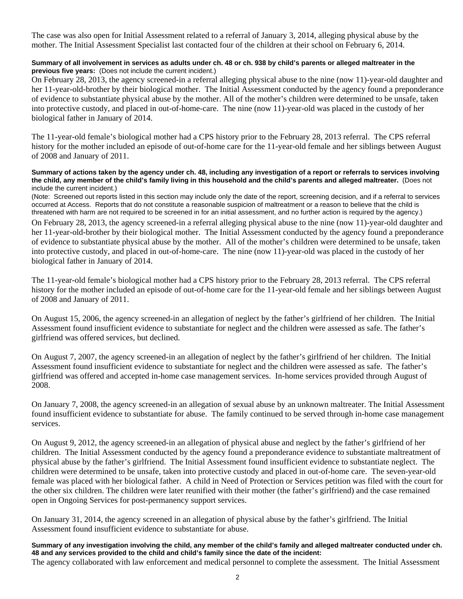The case was also open for Initial Assessment related to a referral of January 3, 2014, alleging physical abuse by the mother. The Initial Assessment Specialist last contacted four of the children at their school on February 6, 2014.

## **Summary of all involvement in services as adults under ch. 48 or ch. 938 by child's parents or alleged maltreater in the previous five years:** (Does not include the current incident.)

On February 28, 2013, the agency screened-in a referral alleging physical abuse to the nine (now 11)-year-old daughter and her 11-year-old-brother by their biological mother. The Initial Assessment conducted by the agency found a preponderance of evidence to substantiate physical abuse by the mother. All of the mother's children were determined to be unsafe, taken into protective custody, and placed in out-of-home-care. The nine (now 11)-year-old was placed in the custody of her biological father in January of 2014.

The 11-year-old female's biological mother had a CPS history prior to the February 28, 2013 referral. The CPS referral history for the mother included an episode of out-of-home care for the 11-year-old female and her siblings between August of 2008 and January of 2011.

#### **Summary of actions taken by the agency under ch. 48, including any investigation of a report or referrals to services involving the child, any member of the child's family living in this household and the child's parents and alleged maltreater.** (Does not include the current incident.)

(Note: Screened out reports listed in this section may include only the date of the report, screening decision, and if a referral to services occurred at Access. Reports that do not constitute a reasonable suspicion of maltreatment or a reason to believe that the child is threatened with harm are not required to be screened in for an initial assessment, and no further action is required by the agency.)

On February 28, 2013, the agency screened-in a referral alleging physical abuse to the nine (now 11)-year-old daughter and her 11-year-old-brother by their biological mother. The Initial Assessment conducted by the agency found a preponderance of evidence to substantiate physical abuse by the mother. All of the mother's children were determined to be unsafe, taken into protective custody, and placed in out-of-home-care. The nine (now 11)-year-old was placed in the custody of her biological father in January of 2014.

The 11-year-old female's biological mother had a CPS history prior to the February 28, 2013 referral. The CPS referral history for the mother included an episode of out-of-home care for the 11-year-old female and her siblings between August of 2008 and January of 2011.

On August 15, 2006, the agency screened-in an allegation of neglect by the father's girlfriend of her children. The Initial Assessment found insufficient evidence to substantiate for neglect and the children were assessed as safe. The father's girlfriend was offered services, but declined.

On August 7, 2007, the agency screened-in an allegation of neglect by the father's girlfriend of her children. The Initial Assessment found insufficient evidence to substantiate for neglect and the children were assessed as safe. The father's girlfriend was offered and accepted in-home case management services. In-home services provided through August of 2008.

On January 7, 2008, the agency screened-in an allegation of sexual abuse by an unknown maltreater. The Initial Assessment found insufficient evidence to substantiate for abuse. The family continued to be served through in-home case management services.

On August 9, 2012, the agency screened-in an allegation of physical abuse and neglect by the father's girlfriend of her children. The Initial Assessment conducted by the agency found a preponderance evidence to substantiate maltreatment of physical abuse by the father's girlfriend. The Initial Assessment found insufficient evidence to substantiate neglect. The children were determined to be unsafe, taken into protective custody and placed in out-of-home care. The seven-year-old female was placed with her biological father. A child in Need of Protection or Services petition was filed with the court for the other six children. The children were later reunified with their mother (the father's girlfriend) and the case remained open in Ongoing Services for post-permanency support services.

On January 31, 2014, the agency screened in an allegation of physical abuse by the father's girlfriend. The Initial Assessment found insufficient evidence to substantiate for abuse.

**Summary of any investigation involving the child, any member of the child's family and alleged maltreater conducted under ch. 48 and any services provided to the child and child's family since the date of the incident:** 

The agency collaborated with law enforcement and medical personnel to complete the assessment. The Initial Assessment